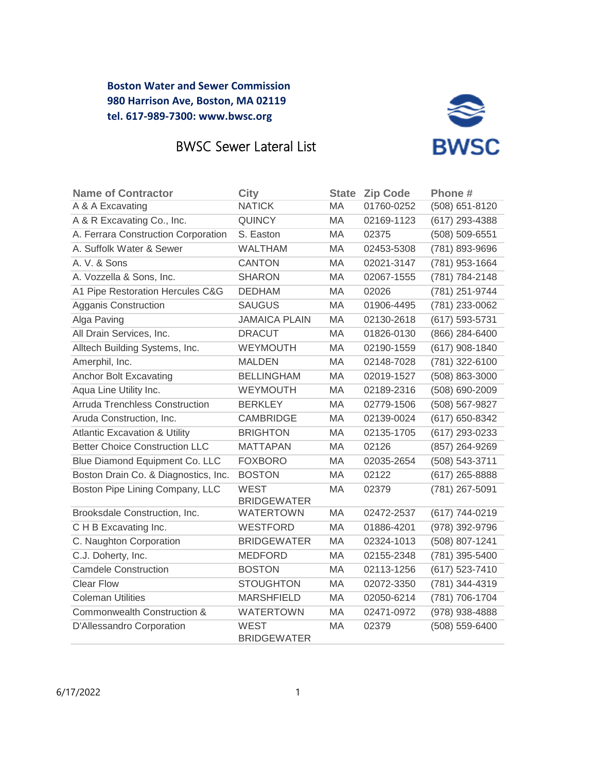

## BWSC Sewer Lateral List

| <b>Name of Contractor</b>                | <b>City</b>                       | <b>State</b> | <b>Zip Code</b> | Phone #        |
|------------------------------------------|-----------------------------------|--------------|-----------------|----------------|
| A & A Excavating                         | <b>NATICK</b>                     | MA           | 01760-0252      | (508) 651-8120 |
| A & R Excavating Co., Inc.               | <b>QUINCY</b>                     | МA           | 02169-1123      | (617) 293-4388 |
| A. Ferrara Construction Corporation      | S. Easton                         | MA.          | 02375           | (508) 509-6551 |
| A. Suffolk Water & Sewer                 | <b>WALTHAM</b>                    | MA           | 02453-5308      | (781) 893-9696 |
| A. V. & Sons                             | <b>CANTON</b>                     | <b>MA</b>    | 02021-3147      | (781) 953-1664 |
| A. Vozzella & Sons, Inc.                 | <b>SHARON</b>                     | MA           | 02067-1555      | (781) 784-2148 |
| A1 Pipe Restoration Hercules C&G         | <b>DEDHAM</b>                     | MA           | 02026           | (781) 251-9744 |
| Agganis Construction                     | <b>SAUGUS</b>                     | MA           | 01906-4495      | (781) 233-0062 |
| Alga Paving                              | <b>JAMAICA PLAIN</b>              | MA           | 02130-2618      | (617) 593-5731 |
| All Drain Services, Inc.                 | <b>DRACUT</b>                     | MA           | 01826-0130      | (866) 284-6400 |
| Alltech Building Systems, Inc.           | WEYMOUTH                          | МA           | 02190-1559      | (617) 908-1840 |
| Amerphil, Inc.                           | <b>MALDEN</b>                     | <b>MA</b>    | 02148-7028      | (781) 322-6100 |
| <b>Anchor Bolt Excavating</b>            | <b>BELLINGHAM</b>                 | MA           | 02019-1527      | (508) 863-3000 |
| Aqua Line Utility Inc.                   | WEYMOUTH                          | MA           | 02189-2316      | (508) 690-2009 |
| Arruda Trenchless Construction           | <b>BERKLEY</b>                    | MA           | 02779-1506      | (508) 567-9827 |
| Aruda Construction, Inc.                 | <b>CAMBRIDGE</b>                  | МA           | 02139-0024      | (617) 650-8342 |
| <b>Atlantic Excavation &amp; Utility</b> | <b>BRIGHTON</b>                   | MA           | 02135-1705      | (617) 293-0233 |
| <b>Better Choice Construction LLC</b>    | <b>MATTAPAN</b>                   | MA           | 02126           | (857) 264-9269 |
| Blue Diamond Equipment Co. LLC           | <b>FOXBORO</b>                    | <b>MA</b>    | 02035-2654      | (508) 543-3711 |
| Boston Drain Co. & Diagnostics, Inc.     | <b>BOSTON</b>                     | MA           | 02122           | (617) 265-8888 |
| Boston Pipe Lining Company, LLC          | <b>WEST</b><br><b>BRIDGEWATER</b> | MA           | 02379           | (781) 267-5091 |
| Brooksdale Construction, Inc.            | <b>WATERTOWN</b>                  | MA           | 02472-2537      | (617) 744-0219 |
| C H B Excavating Inc.                    | <b>WESTFORD</b>                   | <b>MA</b>    | 01886-4201      | (978) 392-9796 |
| C. Naughton Corporation                  | <b>BRIDGEWATER</b>                | MA           | 02324-1013      | (508) 807-1241 |
| C.J. Doherty, Inc.                       | <b>MEDFORD</b>                    | MA           | 02155-2348      | (781) 395-5400 |
| <b>Camdele Construction</b>              | <b>BOSTON</b>                     | MA           | 02113-1256      | (617) 523-7410 |
| <b>Clear Flow</b>                        | <b>STOUGHTON</b>                  | MA           | 02072-3350      | (781) 344-4319 |
| <b>Coleman Utilities</b>                 | <b>MARSHFIELD</b>                 | МA           | 02050-6214      | (781) 706-1704 |
| Commonwealth Construction &              | <b>WATERTOWN</b>                  | МA           | 02471-0972      | (978) 938-4888 |
| D'Allessandro Corporation                | <b>WEST</b><br><b>BRIDGEWATER</b> | MA           | 02379           | (508) 559-6400 |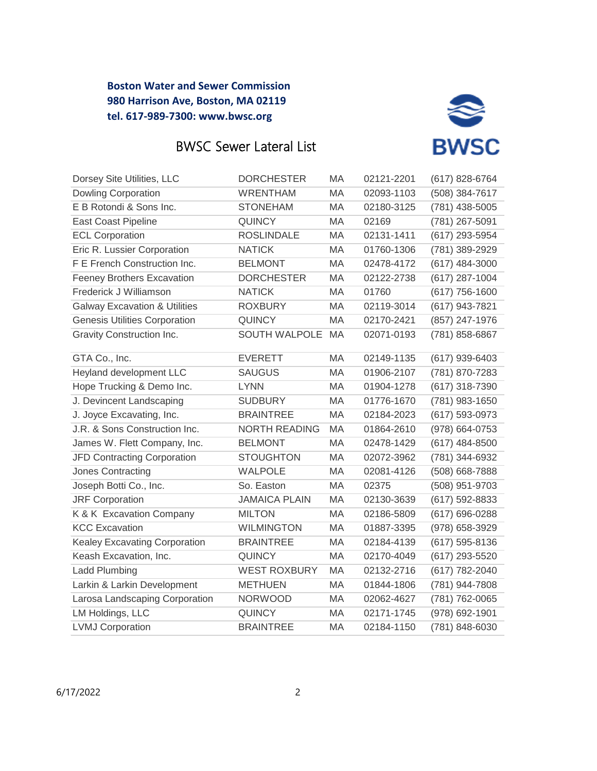



| Dorsey Site Utilities, LLC               | <b>DORCHESTER</b>    | MA        | 02121-2201 | (617) 828-6764   |
|------------------------------------------|----------------------|-----------|------------|------------------|
| <b>Dowling Corporation</b>               | <b>WRENTHAM</b>      | MA        | 02093-1103 | (508) 384-7617   |
| E B Rotondi & Sons Inc.                  | <b>STONEHAM</b>      | MA        | 02180-3125 | (781) 438-5005   |
| <b>East Coast Pipeline</b>               | <b>QUINCY</b>        | MA        | 02169      | (781) 267-5091   |
| <b>ECL Corporation</b>                   | <b>ROSLINDALE</b>    | MA        | 02131-1411 | (617) 293-5954   |
| Eric R. Lussier Corporation              | <b>NATICK</b>        | MA        | 01760-1306 | (781) 389-2929   |
| F E French Construction Inc.             | <b>BELMONT</b>       | MA        | 02478-4172 | $(617)$ 484-3000 |
| <b>Feeney Brothers Excavation</b>        | <b>DORCHESTER</b>    | <b>MA</b> | 02122-2738 | (617) 287-1004   |
| Frederick J Williamson                   | <b>NATICK</b>        | MA        | 01760      | $(617)$ 756-1600 |
| <b>Galway Excavation &amp; Utilities</b> | <b>ROXBURY</b>       | МA        | 02119-3014 | (617) 943-7821   |
| <b>Genesis Utilities Corporation</b>     | <b>QUINCY</b>        | <b>MA</b> | 02170-2421 | (857) 247-1976   |
| Gravity Construction Inc.                | <b>SOUTH WALPOLE</b> | <b>MA</b> | 02071-0193 | (781) 858-6867   |
| GTA Co., Inc.                            | <b>EVERETT</b>       | MA        | 02149-1135 | (617) 939-6403   |
| Heyland development LLC                  | <b>SAUGUS</b>        | MA        | 01906-2107 | (781) 870-7283   |
| Hope Trucking & Demo Inc.                | <b>LYNN</b>          | <b>MA</b> | 01904-1278 | (617) 318-7390   |
| J. Devincent Landscaping                 | <b>SUDBURY</b>       | MA        | 01776-1670 | (781) 983-1650   |
| J. Joyce Excavating, Inc.                | <b>BRAINTREE</b>     | MA        | 02184-2023 | (617) 593-0973   |
| J.R. & Sons Construction Inc.            | <b>NORTH READING</b> | MA        | 01864-2610 | (978) 664-0753   |
| James W. Flett Company, Inc.             | <b>BELMONT</b>       | MA        | 02478-1429 | $(617)$ 484-8500 |
| JFD Contracting Corporation              | <b>STOUGHTON</b>     | MA        | 02072-3962 | (781) 344-6932   |
| Jones Contracting                        | <b>WALPOLE</b>       | MA        | 02081-4126 | (508) 668-7888   |
| Joseph Botti Co., Inc.                   | So. Easton           | <b>MA</b> | 02375      | (508) 951-9703   |
| <b>JRF Corporation</b>                   | <b>JAMAICA PLAIN</b> | MA        | 02130-3639 | (617) 592-8833   |
| K & K Excavation Company                 | <b>MILTON</b>        | MA        | 02186-5809 | (617) 696-0288   |
| <b>KCC Excavation</b>                    | <b>WILMINGTON</b>    | <b>MA</b> | 01887-3395 | (978) 658-3929   |
| Kealey Excavating Corporation            | <b>BRAINTREE</b>     | MA        | 02184-4139 | (617) 595-8136   |
| Keash Excavation, Inc.                   | <b>QUINCY</b>        | MA        | 02170-4049 | (617) 293-5520   |
| <b>Ladd Plumbing</b>                     | <b>WEST ROXBURY</b>  | <b>MA</b> | 02132-2716 | (617) 782-2040   |
| Larkin & Larkin Development              | <b>METHUEN</b>       | MA        | 01844-1806 | (781) 944-7808   |
| Larosa Landscaping Corporation           | <b>NORWOOD</b>       | MA        | 02062-4627 | (781) 762-0065   |
| LM Holdings, LLC                         | <b>QUINCY</b>        | MA        | 02171-1745 | (978) 692-1901   |
| <b>LVMJ Corporation</b>                  | <b>BRAINTREE</b>     | MA        | 02184-1150 | (781) 848-6030   |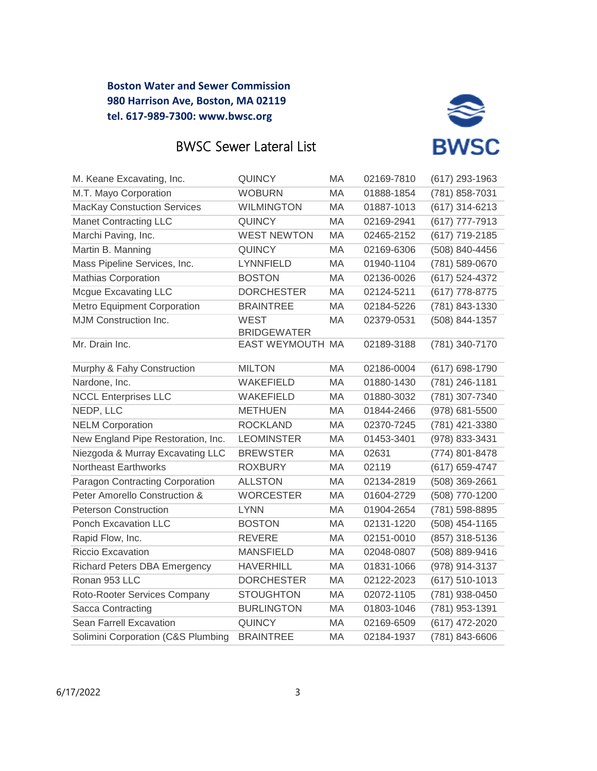



| M. Keane Excavating, Inc.           | <b>QUINCY</b>                          | MA  | 02169-7810 | (617) 293-1963   |
|-------------------------------------|----------------------------------------|-----|------------|------------------|
| M.T. Mayo Corporation               | <b>WOBURN</b>                          | MA  | 01888-1854 | (781) 858-7031   |
| <b>MacKay Constuction Services</b>  | <b>WILMINGTON</b>                      | MA  | 01887-1013 | (617) 314-6213   |
| <b>Manet Contracting LLC</b>        | <b>QUINCY</b>                          | MA  | 02169-2941 | (617) 777-7913   |
| Marchi Paving, Inc.                 | <b>WEST NEWTON</b>                     | MA  | 02465-2152 | (617) 719-2185   |
| Martin B. Manning                   | <b>QUINCY</b>                          | MA  | 02169-6306 | (508) 840-4456   |
| Mass Pipeline Services, Inc.        | LYNNFIELD                              | MA  | 01940-1104 | (781) 589-0670   |
| <b>Mathias Corporation</b>          | <b>BOSTON</b>                          | MA  | 02136-0026 | (617) 524-4372   |
| <b>Mcgue Excavating LLC</b>         | <b>DORCHESTER</b>                      | MA  | 02124-5211 | (617) 778-8775   |
| Metro Equipment Corporation         | <b>BRAINTREE</b>                       | MA  | 02184-5226 | (781) 843-1330   |
| MJM Construction Inc.               | <b>WEST</b>                            | МA  | 02379-0531 | (508) 844-1357   |
| Mr. Drain Inc.                      | <b>BRIDGEWATER</b><br>EAST WEYMOUTH MA |     | 02189-3188 | (781) 340-7170   |
|                                     |                                        |     |            |                  |
| Murphy & Fahy Construction          | <b>MILTON</b>                          | MA  | 02186-0004 | (617) 698-1790   |
| Nardone, Inc.                       | WAKEFIELD                              | MA. | 01880-1430 | (781) 246-1181   |
| <b>NCCL Enterprises LLC</b>         | WAKEFIELD                              | МA  | 01880-3032 | (781) 307-7340   |
| NEDP, LLC                           | <b>METHUEN</b>                         | MA. | 01844-2466 | (978) 681-5500   |
| <b>NELM Corporation</b>             | <b>ROCKLAND</b>                        | MA  | 02370-7245 | (781) 421-3380   |
| New England Pipe Restoration, Inc.  | <b>LEOMINSTER</b>                      | MA  | 01453-3401 | (978) 833-3431   |
| Niezgoda & Murray Excavating LLC    | <b>BREWSTER</b>                        | MA  | 02631      | (774) 801-8478   |
| Northeast Earthworks                | <b>ROXBURY</b>                         | МA  | 02119      | (617) 659-4747   |
| Paragon Contracting Corporation     | <b>ALLSTON</b>                         | MA  | 02134-2819 | (508) 369-2661   |
| Peter Amorello Construction &       | <b>WORCESTER</b>                       | MA  | 01604-2729 | (508) 770-1200   |
| <b>Peterson Construction</b>        | <b>LYNN</b>                            | MA  | 01904-2654 | (781) 598-8895   |
| Ponch Excavation LLC                | <b>BOSTON</b>                          | MA  | 02131-1220 | $(508)$ 454-1165 |
| Rapid Flow, Inc.                    | <b>REVERE</b>                          | MA  | 02151-0010 | (857) 318-5136   |
| <b>Riccio Excavation</b>            | <b>MANSFIELD</b>                       | MA  | 02048-0807 | (508) 889-9416   |
| <b>Richard Peters DBA Emergency</b> | <b>HAVERHILL</b>                       | MA  | 01831-1066 | (978) 914-3137   |
| Ronan 953 LLC                       | <b>DORCHESTER</b>                      | MA  | 02122-2023 | $(617) 510-1013$ |
| Roto-Rooter Services Company        | <b>STOUGHTON</b>                       | MA  | 02072-1105 | (781) 938-0450   |
| Sacca Contracting                   | <b>BURLINGTON</b>                      | MA. | 01803-1046 | (781) 953-1391   |
| Sean Farrell Excavation             | <b>QUINCY</b>                          | МA  | 02169-6509 | (617) 472-2020   |
| Solimini Corporation (C&S Plumbing  | <b>BRAINTREE</b>                       | МA  | 02184-1937 | (781) 843-6606   |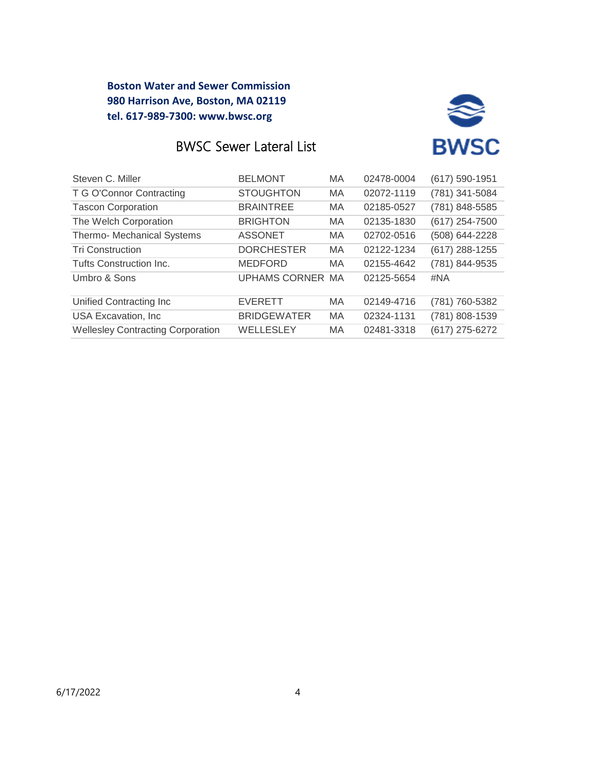

# BWSC Sewer Lateral List

| Steven C. Miller                         | <b>BELMONT</b>          | <b>MA</b> | 02478-0004 | (617) 590-1951 |
|------------------------------------------|-------------------------|-----------|------------|----------------|
| T G O'Connor Contracting                 | <b>STOUGHTON</b>        | <b>MA</b> | 02072-1119 | (781) 341-5084 |
| <b>Tascon Corporation</b>                | <b>BRAINTREE</b>        | <b>MA</b> | 02185-0527 | (781) 848-5585 |
| The Welch Corporation                    | <b>BRIGHTON</b>         | <b>MA</b> | 02135-1830 | (617) 254-7500 |
| Thermo- Mechanical Systems               | <b>ASSONET</b>          | <b>MA</b> | 02702-0516 | (508) 644-2228 |
| <b>Tri Construction</b>                  | <b>DORCHESTER</b>       | <b>MA</b> | 02122-1234 | (617) 288-1255 |
| Tufts Construction Inc.                  | <b>MEDFORD</b>          | <b>MA</b> | 02155-4642 | (781) 844-9535 |
| Umbro & Sons                             | <b>UPHAMS CORNER MA</b> |           | 02125-5654 | #NA            |
| Unified Contracting Inc                  | <b>EVERETT</b>          | MA        | 02149-4716 | (781) 760-5382 |
| <b>USA Excavation, Inc.</b>              | <b>BRIDGEWATER</b>      | <b>MA</b> | 02324-1131 | (781) 808-1539 |
| <b>Wellesley Contracting Corporation</b> | WELLESLEY               | MA        | 02481-3318 | (617) 275-6272 |